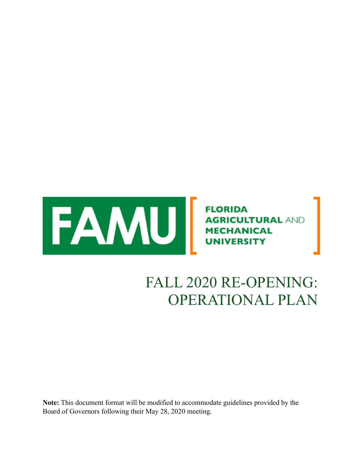

# FALL 2020 RE-OPENING: OPERATIONAL PLAN

**Note:** This document format will be modified to accommodate guidelines provided by the Board of Governors following their May 28, 2020 meeting.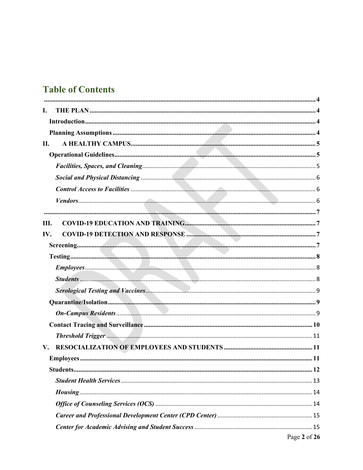# **Table of Contents**

| L.<br>П.<br>III.<br>IV.<br>$V_{\rm r}$ |
|----------------------------------------|
|                                        |
|                                        |
|                                        |
|                                        |
|                                        |
|                                        |
|                                        |
|                                        |
|                                        |
|                                        |
|                                        |
|                                        |
|                                        |
|                                        |
|                                        |
|                                        |
|                                        |
|                                        |
|                                        |
|                                        |
|                                        |
|                                        |
|                                        |
|                                        |
|                                        |
|                                        |
|                                        |
|                                        |
|                                        |
| Page 2 of 26                           |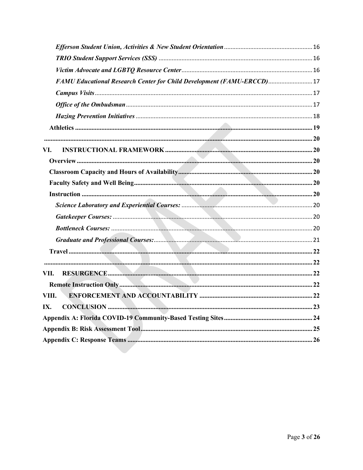| FAMU Educational Research Center for Child Development (FAMU-ERCCD) 17 |  |
|------------------------------------------------------------------------|--|
|                                                                        |  |
|                                                                        |  |
|                                                                        |  |
|                                                                        |  |
|                                                                        |  |
| VI.                                                                    |  |
|                                                                        |  |
|                                                                        |  |
|                                                                        |  |
|                                                                        |  |
|                                                                        |  |
|                                                                        |  |
|                                                                        |  |
|                                                                        |  |
|                                                                        |  |
|                                                                        |  |
| VII.                                                                   |  |
|                                                                        |  |
| VIII.                                                                  |  |
| IX.                                                                    |  |
|                                                                        |  |
|                                                                        |  |
|                                                                        |  |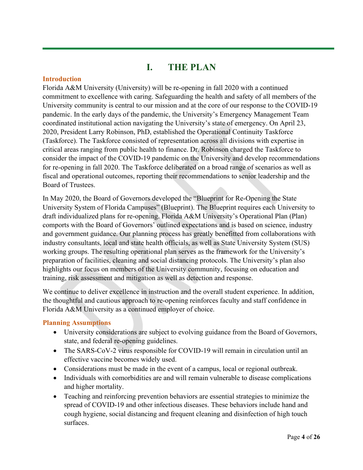### **I. THE PLAN**

#### <span id="page-3-2"></span><span id="page-3-1"></span><span id="page-3-0"></span>**Introduction**

Florida A&M University (University) will be re-opening in fall 2020 with a continued commitment to excellence with caring. Safeguarding the health and safety of all members of the University community is central to our mission and at the core of our response to the COVID-19 pandemic. In the early days of the pandemic, the University's Emergency Management Team coordinated institutional action navigating the University's state of emergency. On April 23, 2020, President Larry Robinson, PhD, established the Operational Continuity Taskforce (Taskforce). The Taskforce consisted of representation across all divisions with expertise in critical areas ranging from public health to finance. Dr. Robinson charged the Taskforce to consider the impact of the COVID-19 pandemic on the University and develop recommendations for re-opening in fall 2020. The Taskforce deliberated on a broad range of scenarios as well as fiscal and operational outcomes, reporting their recommendations to senior leadership and the Board of Trustees.

In May 2020, the Board of Governors developed the "Blueprint for Re-Opening the State University System of Florida Campuses" (Blueprint). The Blueprint requires each University to draft individualized plans for re-opening. Florida A&M University's Operational Plan (Plan) comports with the Board of Governors' outlined expectations and is based on science, industry and government guidance. Our planning process has greatly benefitted from collaborations with industry consultants, local and state health officials, as well as State University System (SUS) working groups. The resulting operational plan serves as the framework for the University's preparation of facilities, cleaning and social distancing protocols. The University's plan also highlights our focus on members of the University community, focusing on education and training, risk assessment and mitigation as well as detection and response.

We continue to deliver excellence in instruction and the overall student experience. In addition, the thoughtful and cautious approach to re-opening reinforces faculty and staff confidence in Florida A&M University as a continued employer of choice.

#### <span id="page-3-3"></span>**Planning Assumptions**

- University considerations are subject to evolving guidance from the Board of Governors, state, and federal re-opening guidelines.
- The SARS-CoV-2 virus responsible for COVID-19 will remain in circulation until an effective vaccine becomes widely used.
- Considerations must be made in the event of a campus, local or regional outbreak.
- Individuals with comorbidities are and will remain vulnerable to disease complications and higher mortality.
- Teaching and reinforcing prevention behaviors are essential strategies to minimize the spread of COVID-19 and other infectious diseases. These behaviors include hand and cough hygiene, social distancing and frequent cleaning and disinfection of high touch surfaces.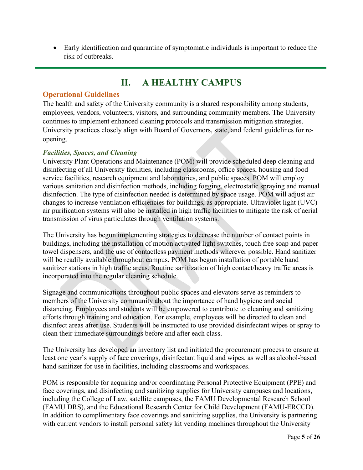• Early identification and quarantine of symptomatic individuals is important to reduce the risk of outbreaks.

### **II. A HEALTHY CAMPUS**

#### <span id="page-4-1"></span><span id="page-4-0"></span>**Operational Guidelines**

The health and safety of the University community is a shared responsibility among students, employees, vendors, volunteers, visitors, and surrounding community members. The University continues to implement enhanced cleaning protocols and transmission mitigation strategies. University practices closely align with Board of Governors, state, and federal guidelines for reopening.

#### <span id="page-4-2"></span>*Facilities, Spaces, and Cleaning*

University Plant Operations and Maintenance (POM) will provide scheduled deep cleaning and disinfecting of all University facilities, including classrooms, office spaces, housing and food service facilities, research equipment and laboratories, and public spaces. POM will employ various sanitation and disinfection methods, including fogging, electrostatic spraying and manual disinfection. The type of disinfection needed is determined by space usage. POM will adjust air changes to increase ventilation efficiencies for buildings, as appropriate. Ultraviolet light (UVC) air purification systems will also be installed in high traffic facilities to mitigate the risk of aerial transmission of virus particulates through ventilation systems.

The University has begun implementing strategies to decrease the number of contact points in buildings, including the installation of motion activated light switches, touch free soap and paper towel dispensers, and the use of contactless payment methods wherever possible. Hand sanitizer will be readily available throughout campus. POM has begun installation of portable hand sanitizer stations in high traffic areas. Routine sanitization of high contact/heavy traffic areas is incorporated into the regular cleaning schedule.

Signage and communications throughout public spaces and elevators serve as reminders to members of the University community about the importance of hand hygiene and social distancing. Employees and students will be empowered to contribute to cleaning and sanitizing efforts through training and education. For example, employees will be directed to clean and disinfect areas after use. Students will be instructed to use provided disinfectant wipes or spray to clean their immediate surroundings before and after each class.

The University has developed an inventory list and initiated the procurement process to ensure at least one year's supply of face coverings, disinfectant liquid and wipes, as well as alcohol-based hand sanitizer for use in facilities, including classrooms and workspaces.

POM is responsible for acquiring and/or coordinating Personal Protective Equipment (PPE) and face coverings, and disinfecting and sanitizing supplies for University campuses and locations, including the College of Law, satellite campuses, the FAMU Developmental Research School (FAMU DRS), and the Educational Research Center for Child Development (FAMU-ERCCD). In addition to complimentary face coverings and sanitizing supplies, the University is partnering with current vendors to install personal safety kit vending machines throughout the University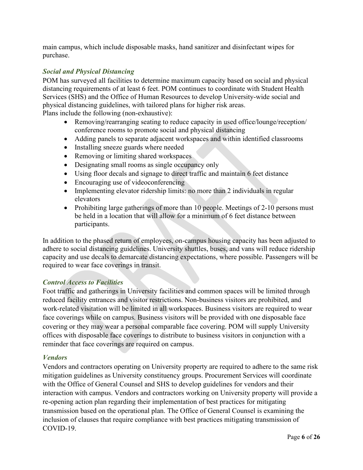main campus, which include disposable masks, hand sanitizer and disinfectant wipes for purchase.

#### <span id="page-5-0"></span>*Social and Physical Distancing*

POM has surveyed all facilities to determine maximum capacity based on social and physical distancing requirements of at least 6 feet. POM continues to coordinate with Student Health Services (SHS) and the Office of Human Resources to develop University-wide social and physical distancing guidelines, with tailored plans for higher risk areas. Plans include the following (non-exhaustive):

- Removing/rearranging seating to reduce capacity in used office/lounge/reception/ conference rooms to promote social and physical distancing
- Adding panels to separate adjacent workspaces and within identified classrooms
- Installing sneeze guards where needed
- Removing or limiting shared workspaces
- Designating small rooms as single occupancy only
- Using floor decals and signage to direct traffic and maintain 6 feet distance
- Encouraging use of videoconferencing
- Implementing elevator ridership limits: no more than 2 individuals in regular elevators
- Prohibiting large gatherings of more than 10 people. Meetings of 2-10 persons must be held in a location that will allow for a minimum of 6 feet distance between participants.

In addition to the phased return of employees, on-campus housing capacity has been adjusted to adhere to social distancing guidelines. University shuttles, buses, and vans will reduce ridership capacity and use decals to demarcate distancing expectations, where possible. Passengers will be required to wear face coverings in transit.

#### <span id="page-5-1"></span>*Control Access to Facilities*

Foot traffic and gatherings in University facilities and common spaces will be limited through reduced facility entrances and visitor restrictions. Non-business visitors are prohibited, and work-related visitation will be limited in all workspaces. Business visitors are required to wear face coverings while on campus. Business visitors will be provided with one disposable face covering or they may wear a personal comparable face covering. POM will supply University offices with disposable face coverings to distribute to business visitors in conjunction with a reminder that face coverings are required on campus.

#### <span id="page-5-2"></span>*Vendors*

Vendors and contractors operating on University property are required to adhere to the same risk mitigation guidelines as University constituency groups. Procurement Services will coordinate with the Office of General Counsel and SHS to develop guidelines for vendors and their interaction with campus. Vendors and contractors working on University property will provide a re-opening action plan regarding their implementation of best practices for mitigating transmission based on the operational plan. The Office of General Counsel is examining the inclusion of clauses that require compliance with best practices mitigating transmission of COVID-19.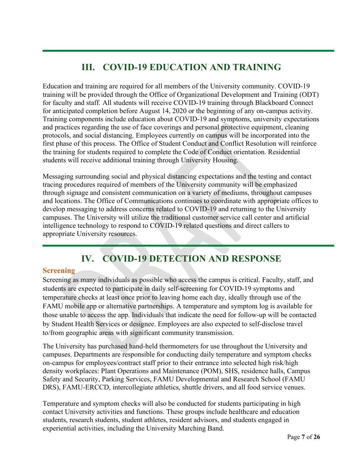# **III. COVID-19 EDUCATION AND TRAINING**

<span id="page-6-0"></span>Education and training are required for all members of the University community. COVID-19 training will be provided through the Office of Organizational Development and Training (ODT) for faculty and staff. All students will receive COVID-19 training through Blackboard Connect for anticipated completion before August 14, 2020 or the beginning of any on-campus activity. Training components include education about COVID-19 and symptoms, university expectations and practices regarding the use of face coverings and personal protective equipment, cleaning protocols, and social distancing. Employees currently on campus will be incorporated into the first phase of this process. The Office of Student Conduct and Conflict Resolution will reinforce the training for students required to complete the Code of Conduct orientation. Residential students will receive additional training through University Housing.

Messaging surrounding social and physical distancing expectations and the testing and contact tracing procedures required of members of the University community will be emphasized through signage and consistent communication on a variety of mediums, throughout campuses and locations. The Office of Communications continues to coordinate with appropriate offices to develop messaging to address concerns related to COVID-19 and returning to the University campuses. The University will utilize the traditional customer service call center and artificial intelligence technology to respond to COVID-19 related questions and direct callers to appropriate University resources.

# **IV. COVID-19 DETECTION AND RESPONSE**

#### <span id="page-6-2"></span><span id="page-6-1"></span>**Screening**

Screening as many individuals as possible who access the campus is critical. Faculty, staff, and students are expected to participate in daily self-screening for COVID-19 symptoms and temperature checks at least once prior to leaving home each day, ideally through use of the FAMU mobile app or alternative partnerships. A temperature and symptom log is available for those unable to access the app. Individuals that indicate the need for follow-up will be contacted by Student Health Services or designee. Employees are also expected to self-disclose travel to/from geographic areas with significant community transmission.

The University has purchased hand-held thermometers for use throughout the University and campuses. Departments are responsible for conducting daily temperature and symptom checks on-campus for employees/contract staff prior to their entrance into selected high risk/high density workplaces: Plant Operations and Maintenance (POM), SHS, residence halls, Campus Safety and Security, Parking Services, FAMU Developmental and Research School (FAMU DRS), FAMU-ERCCD, intercollegiate athletics, shuttle drivers, and all food service venues.

Temperature and symptom checks will also be conducted for students participating in high contact University activities and functions. These groups include healthcare and education students, research students, student athletes, resident advisors, and students engaged in experiential activities, including the University Marching Band.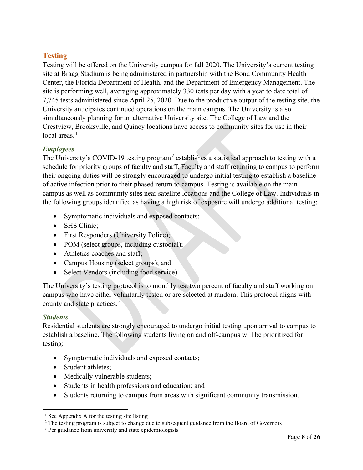#### <span id="page-7-0"></span>**Testing**

Testing will be offered on the University campus for fall 2020. The University's current testing site at Bragg Stadium is being administered in partnership with the Bond Community Health Center, the Florida Department of Health, and the Department of Emergency Management. The site is performing well, averaging approximately 330 tests per day with a year to date total of 7,745 tests administered since April 25, 2020. Due to the productive output of the testing site, the University anticipates continued operations on the main campus. The University is also simultaneously planning for an alternative University site. The College of Law and the Crestview, Brooksville, and Quincy locations have access to community sites for use in their local areas. [1](#page-7-3)

#### <span id="page-7-1"></span>*Employees*

The University's COVID-19 testing program<sup>[2](#page-7-4)</sup> establishes a statistical approach to testing with a schedule for priority groups of faculty and staff. Faculty and staff returning to campus to perform their ongoing duties will be strongly encouraged to undergo initial testing to establish a baseline of active infection prior to their phased return to campus. Testing is available on the main campus as well as community sites near satellite locations and the College of Law. Individuals in the following groups identified as having a high risk of exposure will undergo additional testing:

- Symptomatic individuals and exposed contacts;
- SHS Clinic;
- First Responders (University Police);
- POM (select groups, including custodial);
- Athletics coaches and staff;
- Campus Housing (select groups); and
- Select Vendors (including food service).

The University's testing protocol is to monthly test two percent of faculty and staff working on campus who have either voluntarily tested or are selected at random. This protocol aligns with county and state practices.<sup>[3](#page-7-5)</sup>

#### <span id="page-7-2"></span>*Students*

Residential students are strongly encouraged to undergo initial testing upon arrival to campus to establish a baseline. The following students living on and off-campus will be prioritized for testing:

- Symptomatic individuals and exposed contacts;
- Student athletes:
- Medically vulnerable students;
- Students in health professions and education; and
- Students returning to campus from areas with significant community transmission.

<span id="page-7-3"></span> $<sup>1</sup>$  See Appendix A for the testing site listing</sup>

<span id="page-7-4"></span><sup>&</sup>lt;sup>2</sup> The testing program is subject to change due to subsequent guidance from the Board of Governors

<span id="page-7-5"></span><sup>&</sup>lt;sup>3</sup> Per guidance from university and state epidemiologists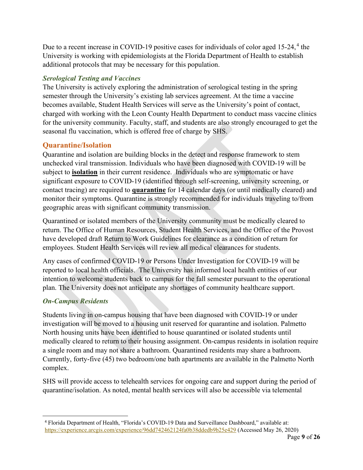Due to a recent increase in COVID-19 positive cases for individuals of color aged 15-2[4](#page-8-3),<sup>4</sup> the University is working with epidemiologists at the Florida Department of Health to establish additional protocols that may be necessary for this population.

#### <span id="page-8-0"></span>*Serological Testing and Vaccines*

The University is actively exploring the administration of serological testing in the spring semester through the University's existing lab services agreement. At the time a vaccine becomes available, Student Health Services will serve as the University's point of contact, charged with working with the Leon County Health Department to conduct mass vaccine clinics for the university community. Faculty, staff, and students are also strongly encouraged to get the seasonal flu vaccination, which is offered free of charge by SHS.

#### <span id="page-8-1"></span>**Quarantine/Isolation**

Quarantine and isolation are building blocks in the detect and response framework to stem unchecked viral transmission. Individuals who have been diagnosed with COVID-19 will be subject to **isolation** in their current residence. Individuals who are symptomatic or have significant exposure to COVID-19 (identified through self-screening, university screening, or contact tracing) are required to **quarantine** for 14 calendar days (or until medically cleared) and monitor their symptoms. Quarantine is strongly recommended for individuals traveling to/from geographic areas with significant community transmission.

Quarantined or isolated members of the University community must be medically cleared to return. The Office of Human Resources, Student Health Services, and the Office of the Provost have developed draft Return to Work Guidelines for clearance as a condition of return for employees. Student Health Services will review all medical clearances for students.

Any cases of confirmed COVID-19 or Persons Under Investigation for COVID-19 will be reported to local health officials. The University has informed local health entities of our intention to welcome students back to campus for the fall semester pursuant to the operational plan. The University does not anticipate any shortages of community healthcare support.

#### <span id="page-8-2"></span>*On-Campus Residents*

Students living in on-campus housing that have been diagnosed with COVID-19 or under investigation will be moved to a housing unit reserved for quarantine and isolation. Palmetto North housing units have been identified to house quarantined or isolated students until medically cleared to return to their housing assignment. On-campus residents in isolation require a single room and may not share a bathroom. Quarantined residents may share a bathroom. Currently, forty-five (45) two bedroom/one bath apartments are available in the Palmetto North complex.

SHS will provide access to telehealth services for ongoing care and support during the period of quarantine/isolation. As noted, mental health services will also be accessible via telemental

<span id="page-8-3"></span><sup>4</sup> Florida Department of Health, "Florida's COVID-19 Data and Surveillance Dashboard," available at: <https://experience.arcgis.com/experience/96dd742462124fa0b38ddedb9b25e429> (Accessed May 26, 2020)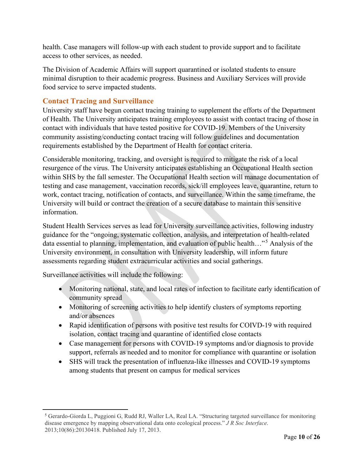health. Case managers will follow-up with each student to provide support and to facilitate access to other services, as needed.

The Division of Academic Affairs will support quarantined or isolated students to ensure minimal disruption to their academic progress. Business and Auxiliary Services will provide food service to serve impacted students.

#### <span id="page-9-0"></span>**Contact Tracing and Surveillance**

University staff have begun contact tracing training to supplement the efforts of the Department of Health. The University anticipates training employees to assist with contact tracing of those in contact with individuals that have tested positive for COVID-19. Members of the University community assisting/conducting contact tracing will follow guidelines and documentation requirements established by the Department of Health for contact criteria.

Considerable monitoring, tracking, and oversight is required to mitigate the risk of a local resurgence of the virus. The University anticipates establishing an Occupational Health section within SHS by the fall semester. The Occupational Health section will manage documentation of testing and case management, vaccination records, sick/ill employees leave, quarantine, return to work, contact tracing, notification of contacts, and surveillance. Within the same timeframe, the University will build or contract the creation of a secure database to maintain this sensitive information.

Student Health Services serves as lead for University surveillance activities, following industry guidance for the "ongoing, systematic collection, analysis, and interpretation of health-related data essential to planning, implementation, and evaluation of public health..."<sup>[5](#page-9-1)</sup> Analysis of the University environment, in consultation with University leadership, will inform future assessments regarding student extracurricular activities and social gatherings.

Surveillance activities will include the following:

- Monitoring national, state, and local rates of infection to facilitate early identification of community spread
- Monitoring of screening activities to help identify clusters of symptoms reporting and/or absences
- Rapid identification of persons with positive test results for COIVD-19 with required isolation, contact tracing and quarantine of identified close contacts
- Case management for persons with COVID-19 symptoms and/or diagnosis to provide support, referrals as needed and to monitor for compliance with quarantine or isolation
- SHS will track the presentation of influenza-like illnesses and COVID-19 symptoms among students that present on campus for medical services

<span id="page-9-1"></span><sup>5</sup> Gerardo-Giorda L, Puggioni G, Rudd RJ, Waller LA, Real LA. "Structuring targeted surveillance for monitoring disease emergence by mapping observational data onto ecological process." *J R Soc Interface*. 2013;10(86):20130418. Published July 17, 2013.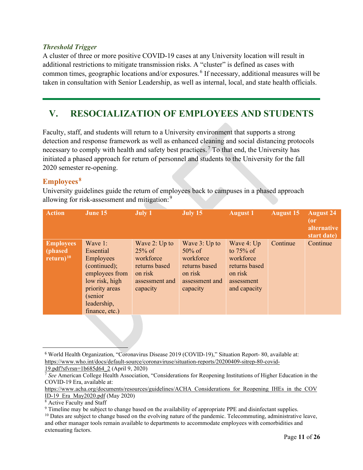#### <span id="page-10-0"></span>*Threshold Trigger*

A cluster of three or more positive COVID-19 cases at any University location will result in additional restrictions to mitigate transmission risks. A "cluster" is defined as cases with common times, geographic locations and/or exposures. [6](#page-10-3) If necessary, additional measures will be taken in consultation with Senior Leadership, as well as internal, local, and state health officials.

### <span id="page-10-1"></span>**V. RESOCIALIZATION OF EMPLOYEES AND STUDENTS**

Faculty, staff, and students will return to a University environment that supports a strong detection and response framework as well as enhanced cleaning and social distancing protocols necessary to comply with health and safety best practices.<sup>[7](#page-10-4)</sup> To that end, the University has initiated a phased approach for return of personnel and students to the University for the fall 2020 semester re-opening.

#### <span id="page-10-2"></span>**Employees [8](#page-10-5)**

University guidelines guide the return of employees back to campuses in a phased approach allowing for risk-assessment and mitigation:<sup>[9](#page-10-6)</sup>

| <b>Action</b>                               | June 15                                                                                                                                                           | <b>July 1</b>                                                                                     | July 15                                                                                             | <b>August 1</b>                                                                                   | <b>August 15</b> | <b>August 24</b><br>(or<br>alternative<br>start date) |
|---------------------------------------------|-------------------------------------------------------------------------------------------------------------------------------------------------------------------|---------------------------------------------------------------------------------------------------|-----------------------------------------------------------------------------------------------------|---------------------------------------------------------------------------------------------------|------------------|-------------------------------------------------------|
| <b>Employees</b><br>(phased<br>return) $10$ | Wave 1:<br><b>Essential</b><br><b>Employees</b><br>(continued);<br>employees from<br>low risk, high<br>priority areas<br>(senior<br>leadership,<br>finance, etc.) | Wave 2: Up to<br>$25\%$ of<br>workforce<br>returns based<br>on risk<br>assessment and<br>capacity | Wave $3: Up to$<br>$50\%$ of<br>workforce<br>returns based<br>on risk<br>assessment and<br>capacity | Wave 4: Up<br>to $75\%$ of<br>workforce<br>returns based<br>on risk<br>assessment<br>and capacity | Continue         | Continue                                              |

<span id="page-10-3"></span><sup>6</sup> World Health Organization, "Coronavirus Disease 2019 (COVID-19)," Situation Report- 80, available at: [https://www.who.int/docs/default-source/coronaviruse/situation-reports/20200409-sitrep-80-covid-](https://www.who.int/docs/default-source/coronaviruse/situation-reports/20200409-sitrep-80-covid-19.pdf?sfvrsn=1b685d64_2)[19.pdf?sfvrsn=1b685d64\\_2](https://www.who.int/docs/default-source/coronaviruse/situation-reports/20200409-sitrep-80-covid-19.pdf?sfvrsn=1b685d64_2) (April 9, 2020)

<span id="page-10-4"></span><sup>7</sup> *See* American College Health Association, "Considerations for Reopening Institutions of Higher Education in the COVID-19 Era, available at:

[https://www.acha.org/documents/resources/guidelines/ACHA\\_Considerations\\_for\\_Reopening\\_IHEs\\_in\\_the\\_COV](https://www.acha.org/documents/resources/guidelines/ACHA_Considerations_for_Reopening_IHEs_in_the_COVID-19_Era_May2020.pdf) [ID-19\\_Era\\_May2020.pdf](https://www.acha.org/documents/resources/guidelines/ACHA_Considerations_for_Reopening_IHEs_in_the_COVID-19_Era_May2020.pdf) (May 2020)

<span id="page-10-5"></span><sup>8</sup> Active Faculty and Staff

<span id="page-10-6"></span><sup>9</sup> Timeline may be subject to change based on the availability of appropriate PPE and disinfectant supplies.

<span id="page-10-7"></span><sup>&</sup>lt;sup>10</sup> Dates are subject to change based on the evolving nature of the pandemic. Telecommuting, administrative leave, and other manager tools remain available to departments to accommodate employees with comorbidities and extenuating factors.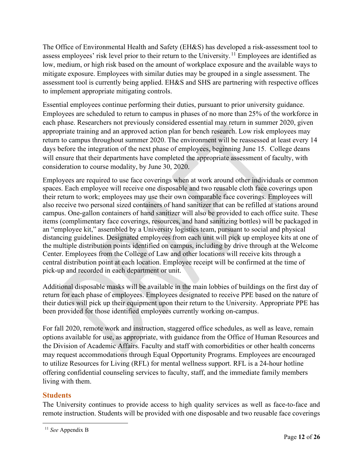The Office of Environmental Health and Safety (EH&S) has developed a risk-assessment tool to assess employees' risk level prior to their return to the University. [11](#page-11-1) Employees are identified as low, medium, or high risk based on the amount of workplace exposure and the available ways to mitigate exposure. Employees with similar duties may be grouped in a single assessment. The assessment tool is currently being applied. EH&S and SHS are partnering with respective offices to implement appropriate mitigating controls.

Essential employees continue performing their duties, pursuant to prior university guidance. Employees are scheduled to return to campus in phases of no more than 25% of the workforce in each phase. Researchers not previously considered essential may return in summer 2020, given appropriate training and an approved action plan for bench research. Low risk employees may return to campus throughout summer 2020. The environment will be reassessed at least every 14 days before the integration of the next phase of employees, beginning June 15. College deans will ensure that their departments have completed the appropriate assessment of faculty, with consideration to course modality, by June 30, 2020.

Employees are required to use face coverings when at work around other individuals or common spaces. Each employee will receive one disposable and two reusable cloth face coverings upon their return to work; employees may use their own comparable face coverings. Employees will also receive two personal sized containers of hand sanitizer that can be refilled at stations around campus. One-gallon containers of hand sanitizer will also be provided to each office suite. These items (complimentary face coverings, resources, and hand sanitizing bottles) will be packaged in an "employee kit," assembled by a University logistics team, pursuant to social and physical distancing guidelines. Designated employees from each unit will pick up employee kits at one of the multiple distribution points identified on campus, including by drive through at the Welcome Center. Employees from the College of Law and other locations will receive kits through a central distribution point at each location. Employee receipt will be confirmed at the time of pick-up and recorded in each department or unit.

Additional disposable masks will be available in the main lobbies of buildings on the first day of return for each phase of employees. Employees designated to receive PPE based on the nature of their duties will pick up their equipment upon their return to the University. Appropriate PPE has been provided for those identified employees currently working on-campus.

For fall 2020, remote work and instruction, staggered office schedules, as well as leave, remain options available for use, as appropriate, with guidance from the Office of Human Resources and the Division of Academic Affairs. Faculty and staff with comorbidities or other health concerns may request accommodations through Equal Opportunity Programs. Employees are encouraged to utilize Resources for Living (RFL) for mental wellness support. RFL is a 24-hour hotline offering confidential counseling services to faculty, staff, and the immediate family members living with them.

#### <span id="page-11-0"></span>**Students**

The University continues to provide access to high quality services as well as face-to-face and remote instruction. Students will be provided with one disposable and two reusable face coverings

<span id="page-11-1"></span><sup>11</sup> *See* Appendix B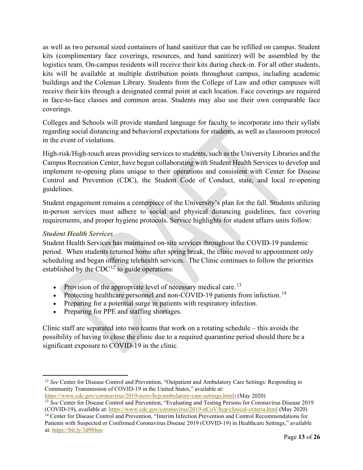as well as two personal sized containers of hand sanitizer that can be refilled on campus. Student kits (complimentary face coverings, resources, and hand sanitizer) will be assembled by the logistics team. On-campus residents will receive their kits during check-in. For all other students, kits will be available at multiple distribution points throughout campus, including academic buildings and the Coleman Library. Students from the College of Law and other campuses will receive their kits through a designated central point at each location. Face coverings are required in face-to-face classes and common areas. Students may also use their own comparable face coverings.

Colleges and Schools will provide standard language for faculty to incorporate into their syllabi regarding social distancing and behavioral expectations for students, as well as classroom protocol in the event of violations.

High-risk/High-touch areas providing services to students, such as the University Libraries and the Campus Recreation Center, have begun collaborating with Student Health Services to develop and implement re-opening plans unique to their operations and consistent with Center for Disease Control and Prevention (CDC), the Student Code of Conduct, state, and local re-opening guidelines.

Student engagement remains a centerpiece of the University's plan for the fall. Students utilizing in-person services must adhere to social and physical distancing guidelines, face covering requirements, and proper hygiene protocols. Service highlights for student affairs units follow:

#### <span id="page-12-0"></span>*Student Health Services*

Student Health Services has maintained on-site services throughout the COVID-19 pandemic period. When students returned home after spring break, the clinic moved to appointment only scheduling and began offering telehealth services. The Clinic continues to follow the priorities established by the  $CDC^{12}$  $CDC^{12}$  $CDC^{12}$  to guide operations:

- Provision of the appropriate level of necessary medical care.<sup>[13](#page-12-2)</sup>
- Protecting healthcare personnel and non-COVID-19 patients from infection.<sup>[14](#page-12-3)</sup>
- Preparing for a potential surge in patients with respiratory infection.
- Preparing for PPE and staffing shortages.

Clinic staff are separated into two teams that work on a rotating schedule – this avoids the possibility of having to close the clinic due to a required quarantine period should there be a significant exposure to COVID-19 in the clinic.

<span id="page-12-1"></span><sup>&</sup>lt;sup>12</sup> *See* Center for Disease Control and Prevention, "Outpatient and Ambulatory Care Settings: Responding to Community Transmission of COVID-19 in the United States," available at:

<span id="page-12-2"></span>[https://www.cdc.gov/coronavirus/2019-ncov/hcp/ambulatory-care-settings.html\)](https://www.cdc.gov/coronavirus/2019-ncov/hcp/ambulatory-care-settings.html) (May 2020) <sup>13</sup> *See* Center for Disease Control and Prevention, "Evaluating and Testing Persons for Coronavirus Disease 2019

<span id="page-12-3"></span><sup>(</sup>COVID-19), available at:<https://www.cdc.gov/coronavirus/2019-nCoV/hcp/clinical-criteria.html> (May 2020) <sup>14</sup> Center for Disease Control and Prevention, "Interim Infection Prevention and Control Recommendations for

Patients with Suspected or Confirmed Coronavirus Disease 2019 (COVID-19) in Healthcare Settings," available at:<https://bit.ly/3d9bhso>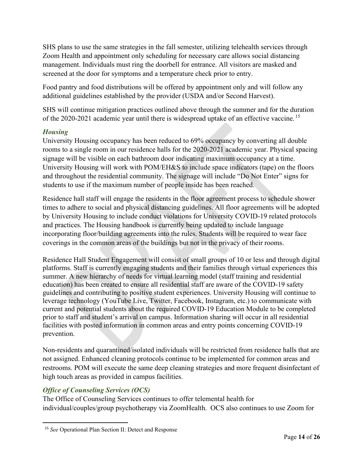SHS plans to use the same strategies in the fall semester, utilizing telehealth services through Zoom Health and appointment only scheduling for necessary care allows social distancing management. Individuals must ring the doorbell for entrance. All visitors are masked and screened at the door for symptoms and a temperature check prior to entry.

Food pantry and food distributions will be offered by appointment only and will follow any additional guidelines established by the provider (USDA and/or Second Harvest).

SHS will continue mitigation practices outlined above through the summer and for the duration of the 2020-2021 academic year until there is widespread uptake of an effective vaccine.<sup>[15](#page-13-2)</sup>

#### <span id="page-13-0"></span>*Housing*

University Housing occupancy has been reduced to 69% occupancy by converting all double rooms to a single room in our residence halls for the 2020-2021 academic year. Physical spacing signage will be visible on each bathroom door indicating maximum occupancy at a time. University Housing will work with POM/EH&S to include space indicators (tape) on the floors and throughout the residential community. The signage will include "Do Not Enter" signs for students to use if the maximum number of people inside has been reached.

Residence hall staff will engage the residents in the floor agreement process to schedule shower times to adhere to social and physical distancing guidelines. All floor agreements will be adopted by University Housing to include conduct violations for University COVID-19 related protocols and practices. The Housing handbook is currently being updated to include language incorporating floor/building agreements into the rules. Students will be required to wear face coverings in the common areas of the buildings but not in the privacy of their rooms.

Residence Hall Student Engagement will consist of small groups of 10 or less and through digital platforms. Staff is currently engaging students and their families through virtual experiences this summer. A new hierarchy of needs for virtual learning model (staff training and residential education) has been created to ensure all residential staff are aware of the COVID-19 safety guidelines and contributing to positive student experiences. University Housing will continue to leverage technology (YouTube Live, Twitter, Facebook, Instagram, etc.) to communicate with current and potential students about the required COVID-19 Education Module to be completed prior to staff and student's arrival on campus. Information sharing will occur in all residential facilities with posted information in common areas and entry points concerning COVID-19 prevention.

Non-residents and quarantined/isolated individuals will be restricted from residence halls that are not assigned. Enhanced cleaning protocols continue to be implemented for common areas and restrooms. POM will execute the same deep cleaning strategies and more frequent disinfectant of high touch areas as provided in campus facilities.

#### <span id="page-13-1"></span>*Office of Counseling Services (OCS)*

The Office of Counseling Services continues to offer telemental health for individual/couples/group psychotherapy via ZoomHealth. OCS also continues to use Zoom for

<span id="page-13-2"></span><sup>15</sup> *See* Operational Plan Section II: Detect and Response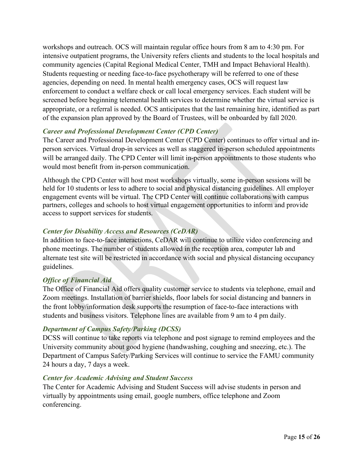workshops and outreach. OCS will maintain regular office hours from 8 am to 4:30 pm. For intensive outpatient programs, the University refers clients and students to the local hospitals and community agencies (Capital Regional Medical Center, TMH and Impact Behavioral Health). Students requesting or needing face-to-face psychotherapy will be referred to one of these agencies, depending on need. In mental health emergency cases, OCS will request law enforcement to conduct a welfare check or call local emergency services. Each student will be screened before beginning telemental health services to determine whether the virtual service is appropriate, or a referral is needed. OCS anticipates that the last remaining hire, identified as part of the expansion plan approved by the Board of Trustees, will be onboarded by fall 2020.

#### <span id="page-14-0"></span>*Career and Professional Development Center (CPD Center)*

The Career and Professional Development Center (CPD Center) continues to offer virtual and inperson services. Virtual drop-in services as well as staggered in-person scheduled appointments will be arranged daily. The CPD Center will limit in-person appointments to those students who would most benefit from in-person communication.

Although the CPD Center will host most workshops virtually, some in-person sessions will be held for 10 students or less to adhere to social and physical distancing guidelines. All employer engagement events will be virtual. The CPD Center will continue collaborations with campus partners, colleges and schools to host virtual engagement opportunities to inform and provide access to support services for students.

#### *Center for Disability Access and Resources (CeDAR)*

In addition to face-to-face interactions, CeDAR will continue to utilize video conferencing and phone meetings. The number of students allowed in the reception area, computer lab and alternate test site will be restricted in accordance with social and physical distancing occupancy guidelines.

#### *Office of Financial Aid*

The Office of Financial Aid offers quality customer service to students via telephone, email and Zoom meetings. Installation of barrier shields, floor labels for social distancing and banners in the front lobby/information desk supports the resumption of face-to-face interactions with students and business visitors. Telephone lines are available from 9 am to 4 pm daily.

#### *Department of Campus Safety/Parking (DCSS)*

DCSS will continue to take reports via telephone and post signage to remind employees and the University community about good hygiene (handwashing, coughing and sneezing, etc.). The Department of Campus Safety/Parking Services will continue to service the FAMU community 24 hours a day, 7 days a week.

#### <span id="page-14-1"></span>*Center for Academic Advising and Student Success*

The Center for Academic Advising and Student Success will advise students in person and virtually by appointments using email, google numbers, office telephone and Zoom conferencing.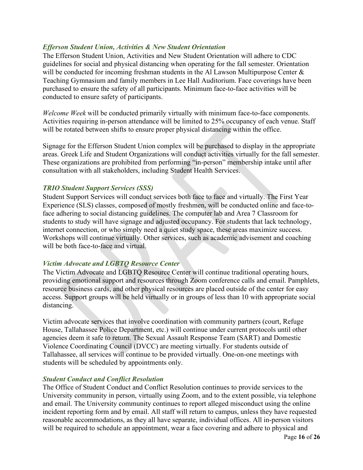#### <span id="page-15-0"></span>*Efferson Student Union, Activities & New Student Orientation*

The Efferson Student Union, Activities and New Student Orientation will adhere to CDC guidelines for social and physical distancing when operating for the fall semester. Orientation will be conducted for incoming freshman students in the Al Lawson Multipurpose Center & Teaching Gymnasium and family members in Lee Hall Auditorium. Face coverings have been purchased to ensure the safety of all participants. Minimum face-to-face activities will be conducted to ensure safety of participants.

*Welcome Week* will be conducted primarily virtually with minimum face-to-face components. Activities requiring in-person attendance will be limited to 25% occupancy of each venue. Staff will be rotated between shifts to ensure proper physical distancing within the office.

Signage for the Efferson Student Union complex will be purchased to display in the appropriate areas. Greek Life and Student Organizations will conduct activities virtually for the fall semester. These organizations are prohibited from performing "in-person" membership intake until after consultation with all stakeholders, including Student Health Services.

#### <span id="page-15-1"></span>*TRIO Student Support Services (SSS)*

Student Support Services will conduct services both face to face and virtually. The First Year Experience (SLS) classes, composed of mostly freshmen, will be conducted online and face-toface adhering to social distancing guidelines. The computer lab and Area 7 Classroom for students to study will have signage and adjusted occupancy. For students that lack technology, internet connection, or who simply need a quiet study space, these areas maximize success. Workshops will continue virtually. Other services, such as academic advisement and coaching will be both face-to-face and virtual.

#### <span id="page-15-2"></span>*Victim Advocate and LGBTQ Resource Center*

The Victim Advocate and LGBTQ Resource Center will continue traditional operating hours, providing emotional support and resources through Zoom conference calls and email. Pamphlets, resource business cards, and other physical resources are placed outside of the center for easy access. Support groups will be held virtually or in groups of less than 10 with appropriate social distancing.

Victim advocate services that involve coordination with community partners (court, Refuge House, Tallahassee Police Department, etc.) will continue under current protocols until other agencies deem it safe to return. The Sexual Assault Response Team (SART) and Domestic Violence Coordinating Council (DVCC) are meeting virtually. For students outside of Tallahassee, all services will continue to be provided virtually. One-on-one meetings with students will be scheduled by appointments only.

#### *Student Conduct and Conflict Resolution*

The Office of Student Conduct and Conflict Resolution continues to provide services to the University community in person, virtually using Zoom, and to the extent possible, via telephone and email. The University community continues to report alleged misconduct using the online incident reporting form and by email. All staff will return to campus, unless they have requested reasonable accommodations, as they all have separate, individual offices. All in-person visitors will be required to schedule an appointment, wear a face covering and adhere to physical and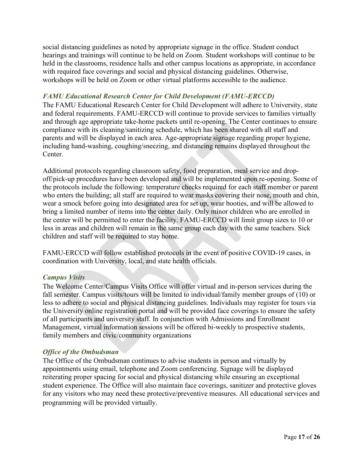social distancing guidelines as noted by appropriate signage in the office. Student conduct hearings and trainings will continue to be held on Zoom. Student workshops will continue to be held in the classrooms, residence halls and other campus locations as appropriate, in accordance with required face coverings and social and physical distancing guidelines. Otherwise, workshops will be held on Zoom or other virtual platforms accessible to the audience.

#### <span id="page-16-0"></span>*FAMU Educational Research Center for Child Development (FAMU-ERCCD)*

The FAMU Educational Research Center for Child Development will adhere to University, state and federal requirements. FAMU-ERCCD will continue to provide services to families virtually and through age appropriate take-home packets until re-opening. The Center continues to ensure compliance with its cleaning/sanitizing schedule, which has been shared with all staff and parents and will be displayed in each area. Age-appropriate signage regarding proper hygiene, including hand-washing, coughing/sneezing, and distancing remains displayed throughout the Center.

Additional protocols regarding classroom safety, food preparation, meal service and dropoff/pick-up procedures have been developed and will be implemented upon re-opening. Some of the protocols include the following: temperature checks required for each staff member or parent who enters the building; all staff are required to wear masks covering their nose, mouth and chin, wear a smock before going into designated area for set up, wear booties, and will be allowed to bring a limited number of items into the center daily. Only minor children who are enrolled in the center will be permitted to enter the facility. FAMU-ERCCD will limit group sizes to 10 or less in areas and children will remain in the same group each day with the same teachers. Sick children and staff will be required to stay home.

FAMU-ERCCD will follow established protocols in the event of positive COVID-19 cases, in coordination with University, local, and state health officials.

#### <span id="page-16-1"></span>*Campus Visits*

The Welcome Center/Campus Visits Office will offer virtual and in-person services during the fall semester. Campus visits/tours will be limited to individual/family member groups of (10) or less to adhere to social and physical distancing guidelines. Individuals may register for tours via the University online registration portal and will be provided face coverings to ensure the safety of all participants and university staff. In conjunction with Admissions and Enrollment Management, virtual information sessions will be offered bi-weekly to prospective students, family members and civic/community organizations

#### <span id="page-16-2"></span>*Office of the Ombudsman*

The Office of the Ombudsman continues to advise students in person and virtually by appointments using email, telephone and Zoom conferencing. Signage will be displayed reiterating proper spacing for social and physical distancing while ensuring an exceptional student experience. The Office will also maintain face coverings, sanitizer and protective gloves for any visitors who may need these protective/preventive measures. All educational services and programming will be provided virtually.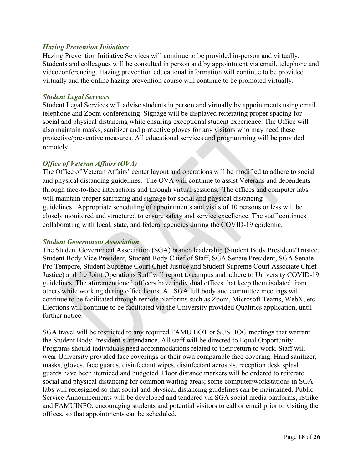#### <span id="page-17-0"></span>*Hazing Prevention Initiatives*

Hazing Prevention Initiative Services will continue to be provided in-person and virtually. Students and colleagues will be consulted in person and by appointment via email, telephone and videoconferencing. Hazing prevention educational information will continue to be provided virtually and the online hazing prevention course will continue to be promoted virtually.

#### *Student Legal Services*

Student Legal Services will advise students in person and virtually by appointments using email, telephone and Zoom conferencing. Signage will be displayed reiterating proper spacing for social and physical distancing while ensuring exceptional student experience. The Office will also maintain masks, sanitizer and protective gloves for any visitors who may need these protective/preventive measures. All educational services and programming will be provided remotely.

#### *Office of Veteran Affairs (OVA)*

The Office of Veteran Affairs' center layout and operations will be modified to adhere to social and physical distancing guidelines. The OVA will continue to assist Veterans and dependents through face-to-face interactions and through virtual sessions. The offices and computer labs will maintain proper sanitizing and signage for social and physical distancing guidelines. Appropriate scheduling of appointments and visits of 10 persons or less will be closely monitored and structured to ensure safety and service excellence. The staff continues collaborating with local, state, and federal agencies during the COVID-19 epidemic.

#### *Student Government Association*

The Student Government Association (SGA) branch leadership (Student Body President/Trustee, Student Body Vice President, Student Body Chief of Staff, SGA Senate President, SGA Senate Pro Tempore, Student Supreme Court Chief Justice and Student Supreme Court Associate Chief Justice) and the Joint Operations Staff will report to campus and adhere to University COVID-19 guidelines. The aforementioned officers have individual offices that keep them isolated from others while working during office hours. All SGA full body and committee meetings will continue to be facilitated through remote platforms such as Zoom, Microsoft Teams, WebX, etc. Elections will continue to be facilitated via the University provided Qualtrics application, until further notice.

SGA travel will be restricted to any required FAMU BOT or SUS BOG meetings that warrant the Student Body President's attendance. All staff will be directed to Equal Opportunity Programs should individuals need accommodations related to their return to work. Staff will wear University provided face coverings or their own comparable face covering. Hand sanitizer, masks, gloves, face guards, disinfectant wipes, disinfectant aerosols, reception desk splash guards have been itemized and budgeted. Floor distance markers will be ordered to reiterate social and physical distancing for common waiting areas; some computer/workstations in SGA labs will redesigned so that social and physical distancing guidelines can be maintained. Public Service Announcements will be developed and tendered via SGA social media platforms, iStrike and FAMUINFO, encouraging students and potential visitors to call or email prior to visiting the offices, so that appointments can be scheduled.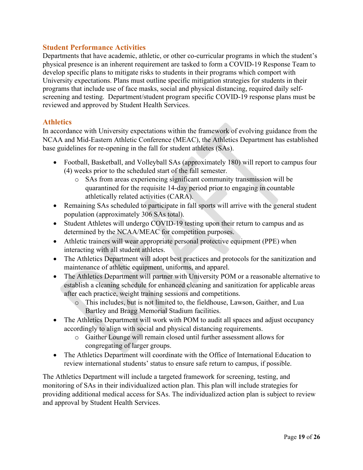#### **Student Performance Activities**

Departments that have academic, athletic, or other co-curricular programs in which the student's physical presence is an inherent requirement are tasked to form a COVID-19 Response Team to develop specific plans to mitigate risks to students in their programs which comport with University expectations. Plans must outline specific mitigation strategies for students in their programs that include use of face masks, social and physical distancing, required daily selfscreening and testing. Department/student program specific COVID-19 response plans must be reviewed and approved by Student Health Services.

#### <span id="page-18-0"></span>**Athletics**

In accordance with University expectations within the framework of evolving guidance from the NCAA and Mid-Eastern Athletic Conference (MEAC), the Athletics Department has established base guidelines for re-opening in the fall for student athletes (SAs).

- Football, Basketball, and Volleyball SAs (approximately 180) will report to campus four (4) weeks prior to the scheduled start of the fall semester.
	- o SAs from areas experiencing significant community transmission will be quarantined for the requisite 14-day period prior to engaging in countable athletically related activities (CARA).
- Remaining SAs scheduled to participate in fall sports will arrive with the general student population (approximately 306 SAs total).
- Student Athletes will undergo COVID-19 testing upon their return to campus and as determined by the NCAA/MEAC for competition purposes.
- Athletic trainers will wear appropriate personal protective equipment (PPE) when interacting with all student athletes.
- The Athletics Department will adopt best practices and protocols for the sanitization and maintenance of athletic equipment, uniforms, and apparel.
- The Athletics Department will partner with University POM or a reasonable alternative to establish a cleaning schedule for enhanced cleaning and sanitization for applicable areas after each practice, weight training sessions and competitions.
	- o This includes, but is not limited to, the fieldhouse, Lawson, Gaither, and Lua Bartley and Bragg Memorial Stadium facilities.
- The Athletics Department will work with POM to audit all spaces and adjust occupancy accordingly to align with social and physical distancing requirements.
	- o Gaither Lounge will remain closed until further assessment allows for congregating of larger groups.
- The Athletics Department will coordinate with the Office of International Education to review international students' status to ensure safe return to campus, if possible.

The Athletics Department will include a targeted framework for screening, testing, and monitoring of SAs in their individualized action plan. This plan will include strategies for providing additional medical access for SAs. The individualized action plan is subject to review and approval by Student Health Services.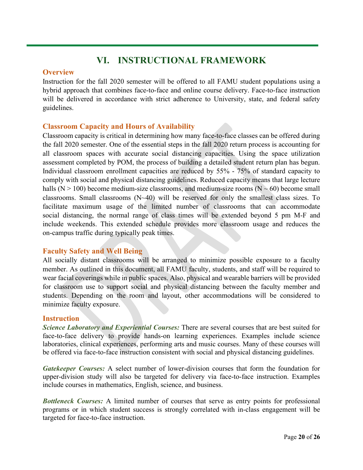### **VI. INSTRUCTIONAL FRAMEWORK**

#### <span id="page-19-1"></span><span id="page-19-0"></span>**Overview**

Instruction for the fall 2020 semester will be offered to all FAMU student populations using a hybrid approach that combines face-to-face and online course delivery. Face-to-face instruction will be delivered in accordance with strict adherence to University, state, and federal safety guidelines.

#### <span id="page-19-2"></span>**Classroom Capacity and Hours of Availability**

Classroom capacity is critical in determining how many face-to-face classes can be offered during the fall 2020 semester. One of the essential steps in the fall 2020 return process is accounting for all classroom spaces with accurate social distancing capacities. Using the space utilization assessment completed by POM, the process of building a detailed student return plan has begun. Individual classroom enrollment capacities are reduced by 55% - 75% of standard capacity to comply with social and physical distancing guidelines. Reduced capacity means that large lecture halls ( $N > 100$ ) become medium-size classrooms, and medium-size rooms ( $N \sim 60$ ) become small classrooms. Small classrooms (N~40) will be reserved for only the smallest class sizes. To facilitate maximum usage of the limited number of classrooms that can accommodate social distancing, the normal range of class times will be extended beyond 5 pm M-F and include weekends. This extended schedule provides more classroom usage and reduces the on-campus traffic during typically peak times.

#### <span id="page-19-3"></span>**Faculty Safety and Well Being**

All socially distant classrooms will be arranged to minimize possible exposure to a faculty member. As outlined in this document, all FAMU faculty, students, and staff will be required to wear facial coverings while in public spaces. Also, physical and wearable barriers will be provided for classroom use to support social and physical distancing between the faculty member and students. Depending on the room and layout, other accommodations will be considered to minimize faculty exposure.

#### <span id="page-19-4"></span>**Instruction**

<span id="page-19-5"></span>*Science Laboratory and Experiential Courses:* There are several courses that are best suited for face-to-face delivery to provide hands-on learning experiences. Examples include science laboratories, clinical experiences, performing arts and music courses. Many of these courses will be offered via face-to-face instruction consistent with social and physical distancing guidelines.

<span id="page-19-6"></span>*Gatekeeper Courses:* A select number of lower-division courses that form the foundation for upper-division study will also be targeted for delivery via face-to-face instruction. Examples include courses in mathematics, English, science, and business.

<span id="page-19-7"></span>*Bottleneck Courses:* A limited number of courses that serve as entry points for professional programs or in which student success is strongly correlated with in-class engagement will be targeted for face-to-face instruction.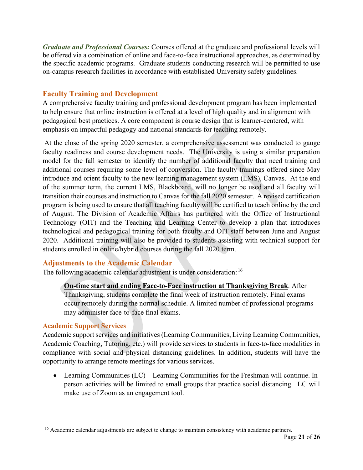<span id="page-20-0"></span>*Graduate and Professional Courses:* Courses offered at the graduate and professional levels will be offered via a combination of online and face-to-face instructional approaches, as determined by the specific academic programs. Graduate students conducting research will be permitted to use on-campus research facilities in accordance with established University safety guidelines.

#### **Faculty Training and Development**

A comprehensive faculty training and professional development program has been implemented to help ensure that online instruction is offered at a level of high quality and in alignment with pedagogical best practices. A core component is course design that is learner-centered, with emphasis on impactful pedagogy and national standards for teaching remotely.

At the close of the spring 2020 semester, a comprehensive assessment was conducted to gauge faculty readiness and course development needs. The University is using a similar preparation model for the fall semester to identify the number of additional faculty that need training and additional courses requiring some level of conversion. The faculty trainings offered since May introduce and orient faculty to the new learning management system (LMS), Canvas. At the end of the summer term, the current LMS, Blackboard, will no longer be used and all faculty will transition their courses and instruction to Canvas for the fall 2020 semester. A revised certification program is being used to ensure that all teaching faculty will be certified to teach online by the end of August. The Division of Academic Affairs has partnered with the Office of Instructional Technology (OIT) and the Teaching and Learning Center to develop a plan that introduces technological and pedagogical training for both faculty and OIT staff between June and August 2020. Additional training will also be provided to students assisting with technical support for students enrolled in online/hybrid courses during the fall 2020 term.

#### **Adjustments to the Academic Calendar**

The following academic calendar adjustment is under consideration: [16](#page-20-1)

#### **On-time start and ending Face-to-Face instruction at Thanksgiving Break**. After Thanksgiving, students complete the final week of instruction remotely. Final exams occur remotely during the normal schedule. A limited number of professional programs may administer face-to-face final exams.

#### **Academic Support Services**

Academic support services and initiatives (Learning Communities, Living Learning Communities, Academic Coaching, Tutoring, etc.) will provide services to students in face-to-face modalities in compliance with social and physical distancing guidelines. In addition, students will have the opportunity to arrange remote meetings for various services.

• Learning Communities (LC) – Learning Communities for the Freshman will continue. Inperson activities will be limited to small groups that practice social distancing. LC will make use of Zoom as an engagement tool.

<span id="page-20-1"></span><sup>&</sup>lt;sup>16</sup> Academic calendar adjustments are subject to change to maintain consistency with academic partners.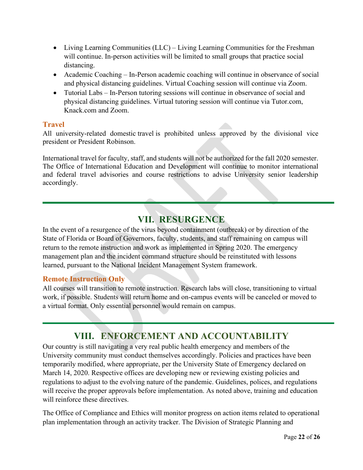- <span id="page-21-1"></span>• Living Learning Communities (LLC) – Living Learning Communities for the Freshman will continue. In-person activities will be limited to small groups that practice social distancing.
- Academic Coaching In-Person academic coaching will continue in observance of social and physical distancing guidelines. Virtual Coaching session will continue via Zoom.
- Tutorial Labs In-Person tutoring sessions will continue in observance of social and physical distancing guidelines. Virtual tutoring session will continue via Tutor.com, Knack.com and Zoom.

#### <span id="page-21-0"></span>**Travel**

All university-related domestic travel is prohibited unless approved by the divisional vice president or President Robinson.

International travel for faculty, staff, and students will not be authorized for the fall 2020 semester. The Office of International Education and Development will continue to monitor international and federal travel advisories and course restrictions to advise University senior leadership accordingly.

# **VII. RESURGENCE**

<span id="page-21-2"></span>In the event of a resurgence of the virus beyond containment (outbreak) or by direction of the State of Florida or Board of Governors, faculty, students, and staff remaining on campus will return to the remote instruction and work as implemented in Spring 2020. The emergency management plan and the incident command structure should be reinstituted with lessons learned, pursuant to the National Incident Management System framework.

#### <span id="page-21-3"></span>**Remote Instruction Only**

All courses will transition to remote instruction. Research labs will close, transitioning to virtual work, if possible. Students will return home and on-campus events will be canceled or moved to a virtual format. Only essential personnel would remain on campus.

# **VIII. ENFORCEMENT AND ACCOUNTABILITY**

<span id="page-21-4"></span>Our country is still navigating a very real public health emergency and members of the University community must conduct themselves accordingly. Policies and practices have been temporarily modified, where appropriate, per the University State of Emergency declared on March 14, 2020. Respective offices are developing new or reviewing existing policies and regulations to adjust to the evolving nature of the pandemic. Guidelines, polices, and regulations will receive the proper approvals before implementation. As noted above, training and education will reinforce these directives.

The Office of Compliance and Ethics will monitor progress on action items related to operational plan implementation through an activity tracker. The Division of Strategic Planning and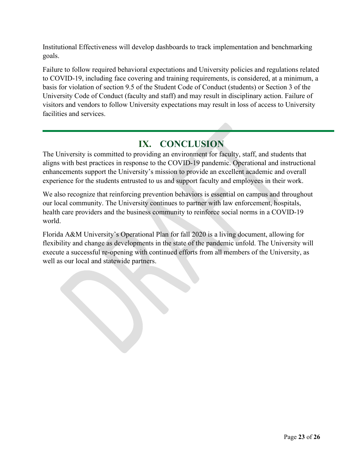Institutional Effectiveness will develop dashboards to track implementation and benchmarking goals.

Failure to follow required behavioral expectations and University policies and regulations related to COVID-19, including face covering and training requirements, is considered, at a minimum, a basis for violation of section 9.5 of the Student Code of Conduct (students) or Section 3 of the University Code of Conduct (faculty and staff) and may result in disciplinary action. Failure of visitors and vendors to follow University expectations may result in loss of access to University facilities and services.

### **IX. CONCLUSION**

<span id="page-22-0"></span>The University is committed to providing an environment for faculty, staff, and students that aligns with best practices in response to the COVID-19 pandemic. Operational and instructional enhancements support the University's mission to provide an excellent academic and overall experience for the students entrusted to us and support faculty and employees in their work.

We also recognize that reinforcing prevention behaviors is essential on campus and throughout our local community. The University continues to partner with law enforcement, hospitals, health care providers and the business community to reinforce social norms in a COVID-19 world.

Florida A&M University's Operational Plan for fall 2020 is a living document, allowing for flexibility and change as developments in the state of the pandemic unfold. The University will execute a successful re-opening with continued efforts from all members of the University, as well as our local and statewide partners.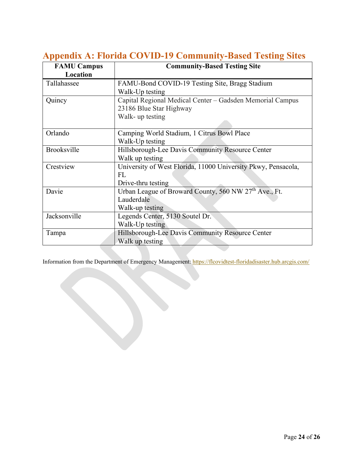| <b>FAMU Campus</b> | <b>Community-Based Testing Site</b>                               |
|--------------------|-------------------------------------------------------------------|
| Location           |                                                                   |
| Tallahassee        | FAMU-Bond COVID-19 Testing Site, Bragg Stadium                    |
|                    | Walk-Up testing                                                   |
| Quincy             | Capital Regional Medical Center - Gadsden Memorial Campus         |
|                    | 23186 Blue Star Highway                                           |
|                    | Walk- up testing                                                  |
|                    |                                                                   |
| Orlando            | Camping World Stadium, 1 Citrus Bowl Place                        |
|                    | Walk-Up testing                                                   |
| <b>Brooksville</b> | Hillsborough-Lee Davis Community Resource Center                  |
|                    | Walk up testing                                                   |
| Crestview          | University of West Florida, 11000 University Pkwy, Pensacola,     |
|                    | <b>FL</b>                                                         |
|                    | Drive-thru testing                                                |
| Davie              | Urban League of Broward County, 560 NW 27 <sup>th</sup> Ave., Ft. |
|                    | Lauderdale                                                        |
|                    | Walk-up testing                                                   |
| Jacksonville       | Legends Center, 5130 Soutel Dr.                                   |
|                    | Walk-Up testing                                                   |
| Tampa              | Hillsborough-Lee Davis Community Resource Center                  |
|                    | Walk up testing                                                   |

### <span id="page-23-0"></span>**Appendix A: Florida COVID-19 Community-Based Testing Sites**

Information from the Department of Emergency Management:<https://flcovidtest-floridadisaster.hub.arcgis.com/>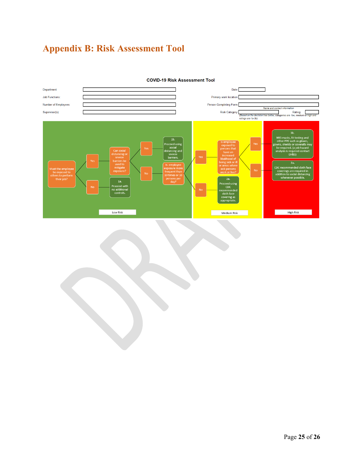# <span id="page-24-0"></span>**Appendix B: Risk Assessment Tool**



**COVID-19 Risk Assessment Tool**